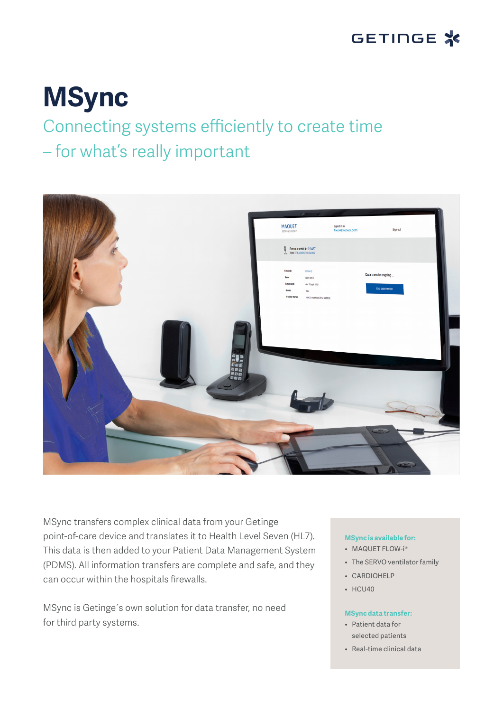

# **MSync**

# Connecting systems efficiently to create time

## – for what's really important



MSync transfers complex clinical data from your Getinge point-of-care device and translates it to Health Level Seven (HL7). This data is then added to your Patient Data Management System (PDMS). All information transfers are complete and safe, and they can occur within the hospitals firewalls.

MSync is Getinge´s own solution for data transfer, no need for third party systems.

#### **MSync is available for:**

- MAQUET FLOW-i®
- The SERVO ventilator family
- CARDIOHELP
- HCU40

#### **MSync data transfer:**

- Patient data for selected patients
- Real-time clinical data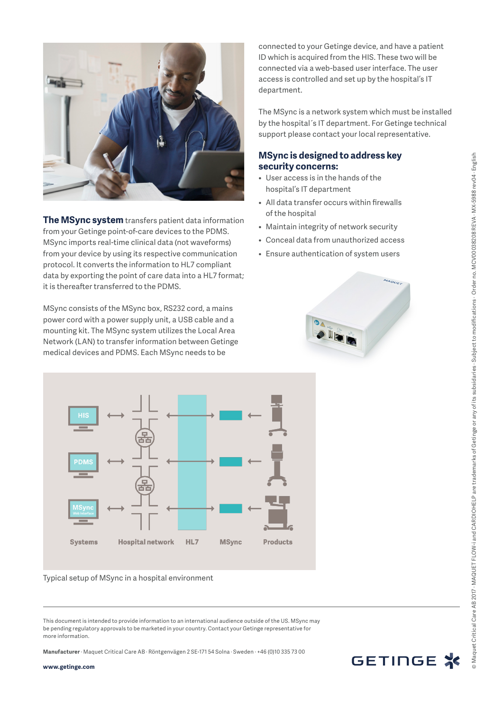

**The MSync system** transfers patient data information from your Getinge point-of-care devices to the PDMS. MSync imports real-time clinical data (not waveforms) from your device by using its respective communication protocol. It converts the information to HL7 compliant data by exporting the point of care data into a HL7 format; it is thereafter transferred to the PDMS.

MSync consists of the MSync box, RS232 cord, a mains power cord with a power supply unit, a USB cable and a mounting kit. The MSync system utilizes the Local Area Network (LAN) to transfer information between Getinge medical devices and PDMS. Each MSync needs to be

connected to your Getinge device, and have a patient ID which is acquired from the HIS. These two will be connected via a web-based user interface. The user access is controlled and set up by the hospital's IT department.

The MSync is a network system which must be installed by the hospital´s IT department. For Getinge technical support please contact your local representative.

### **MSync is designed to address key security concerns:**

- User access is in the hands of the hospital's IT department
- All data transfer occurs within firewalls of the hospital
- Maintain integrity of network security
- Conceal data from unauthorized access
- Ensure authentication of system users





#### Typical setup of MSync in a hospital environment

**Manufacturer** · Maquet Critical Care AB · Röntgenvägen 2 SE-171 54 Solna · Sweden · +46 (0)10 335 73 00



This document is intended to provide information to an international audience outside of the US. MSync may be pending regulatory approvals to be marketed in your country. Contact your Getinge representative for more information.